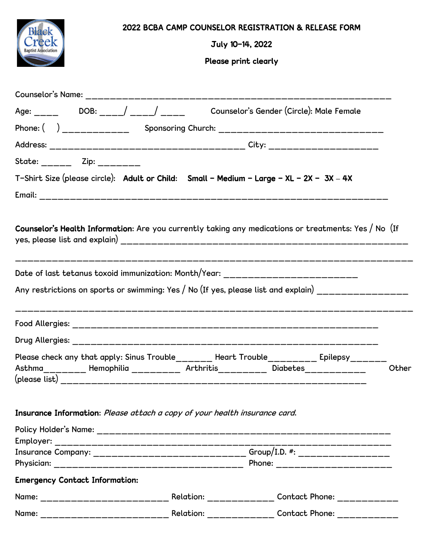| ntist Association                                                                                                                                                                                                                                                                               | July 10-14, 2022<br>Please print clearly | 2022 BCBA CAMP COUNSELOR REGISTRATION & RELEASE FORM                                                 |       |
|-------------------------------------------------------------------------------------------------------------------------------------------------------------------------------------------------------------------------------------------------------------------------------------------------|------------------------------------------|------------------------------------------------------------------------------------------------------|-------|
|                                                                                                                                                                                                                                                                                                 |                                          |                                                                                                      |       |
| Age: _____ DOB: ___/ ___/ ____ Counselor's Gender (Circle): Male Female                                                                                                                                                                                                                         |                                          |                                                                                                      |       |
|                                                                                                                                                                                                                                                                                                 |                                          |                                                                                                      |       |
|                                                                                                                                                                                                                                                                                                 |                                          |                                                                                                      |       |
| State: _____ Zip: ______                                                                                                                                                                                                                                                                        |                                          |                                                                                                      |       |
| T-Shirt Size (please circle): Adult or Child: Small - Medium - Large - XL - 2X - 3X - 4X                                                                                                                                                                                                        |                                          |                                                                                                      |       |
|                                                                                                                                                                                                                                                                                                 |                                          |                                                                                                      |       |
| Counselor's Health Information: Are you currently taking any medications or treatments: Yes / No (If<br>Date of last tetanus toxoid immunization: Month/Year: __________________________<br>Any restrictions on sports or swimming: Yes / No (If yes, please list and explain) ________________ |                                          |                                                                                                      |       |
| <b>Food Allergies:</b>                                                                                                                                                                                                                                                                          |                                          |                                                                                                      |       |
|                                                                                                                                                                                                                                                                                                 |                                          |                                                                                                      |       |
| Asthma________ Hemophilia _________ Arthritis_________ Diabetes___________                                                                                                                                                                                                                      |                                          | Please check any that apply: Sinus Trouble______ Heart Trouble________ Epilepsy______                | Other |
|                                                                                                                                                                                                                                                                                                 |                                          |                                                                                                      |       |
| Insurance Information: Please attach a copy of your health insurance card.                                                                                                                                                                                                                      |                                          | ________________<br>Insurance Company: _____________________________Group/I.D. #: __________________ |       |
| <b>Emergency Contact Information:</b>                                                                                                                                                                                                                                                           |                                          |                                                                                                      |       |
|                                                                                                                                                                                                                                                                                                 |                                          |                                                                                                      |       |
|                                                                                                                                                                                                                                                                                                 |                                          |                                                                                                      |       |